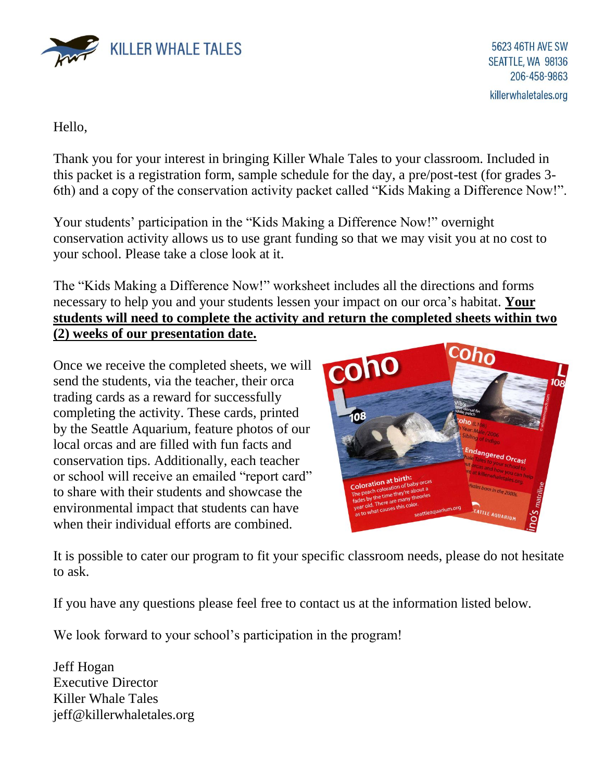

### Hello,

Thank you for your interest in bringing Killer Whale Tales to your classroom. Included in this packet is a registration form, sample schedule for the day, a pre/post-test (for grades 3- 6th) and a copy of the conservation activity packet called "Kids Making a Difference Now!".

Your students' participation in the "Kids Making a Difference Now!" overnight conservation activity allows us to use grant funding so that we may visit you at no cost to your school. Please take a close look at it.

The "Kids Making a Difference Now!" worksheet includes all the directions and forms necessary to help you and your students lessen your impact on our orca's habitat. **Your students will need to complete the activity and return the completed sheets within two (2) weeks of our presentation date.** 

Once we receive the completed sheets, we will send the students, via the teacher, their orca trading cards as a reward for successfully completing the activity. These cards, printed by the Seattle Aquarium, feature photos of our local orcas and are filled with fun facts and conservation tips. Additionally, each teacher or school will receive an emailed "report card" to share with their students and showcase the environmental impact that students can have when their individual efforts are combined.



It is possible to cater our program to fit your specific classroom needs, please do not hesitate to ask.

If you have any questions please feel free to contact us at the information listed below.

We look forward to your school's participation in the program!

Jeff Hogan Executive Director Killer Whale Tales jeff@killerwhaletales.org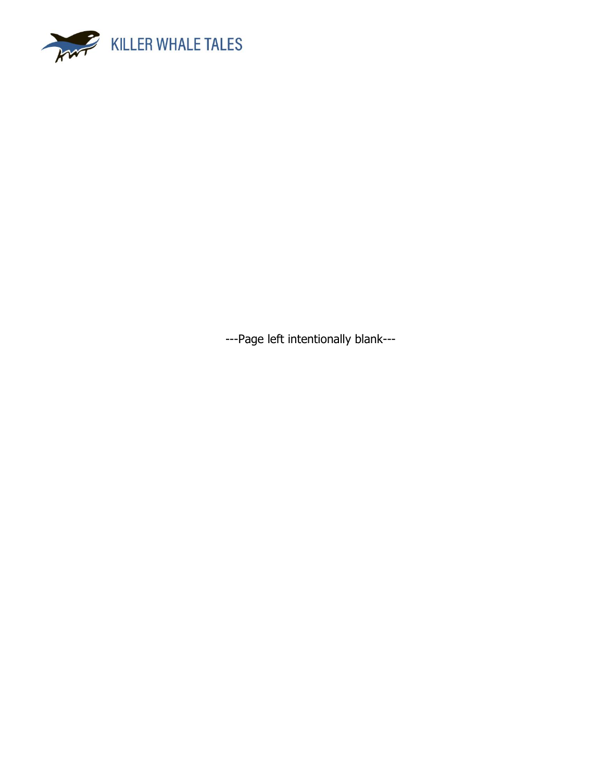

---Page left intentionally blank---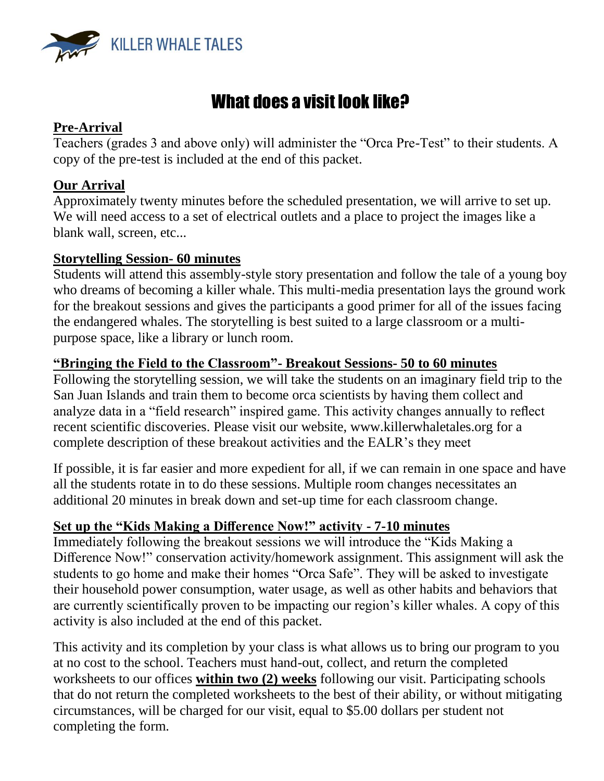

# What does a visit look like?

### **Pre-Arrival**

Teachers (grades 3 and above only) will administer the "Orca Pre-Test" to their students. A copy of the pre-test is included at the end of this packet.

### **Our Arrival**

Approximately twenty minutes before the scheduled presentation, we will arrive to set up. We will need access to a set of electrical outlets and a place to project the images like a blank wall, screen, etc...

### **Storytelling Session- 60 minutes**

Students will attend this assembly-style story presentation and follow the tale of a young boy who dreams of becoming a killer whale. This multi-media presentation lays the ground work for the breakout sessions and gives the participants a good primer for all of the issues facing the endangered whales. The storytelling is best suited to a large classroom or a multipurpose space, like a library or lunch room.

#### **"Bringing the Field to the Classroom"- Breakout Sessions- 50 to 60 minutes**

Following the storytelling session, we will take the students on an imaginary field trip to the San Juan Islands and train them to become orca scientists by having them collect and analyze data in a "field research" inspired game. This activity changes annually to reflect recent scientific discoveries. Please visit our website, www.killerwhaletales.org for a complete description of these breakout activities and the EALR's they meet

If possible, it is far easier and more expedient for all, if we can remain in one space and have all the students rotate in to do these sessions. Multiple room changes necessitates an additional 20 minutes in break down and set-up time for each classroom change.

#### **Set up the "Kids Making a Difference Now!" activity - 7-10 minutes**

Immediately following the breakout sessions we will introduce the "Kids Making a Difference Now!" conservation activity/homework assignment. This assignment will ask the students to go home and make their homes "Orca Safe". They will be asked to investigate their household power consumption, water usage, as well as other habits and behaviors that are currently scientifically proven to be impacting our region's killer whales. A copy of this activity is also included at the end of this packet.

This activity and its completion by your class is what allows us to bring our program to you at no cost to the school. Teachers must hand-out, collect, and return the completed worksheets to our offices **within two (2) weeks** following our visit. Participating schools that do not return the completed worksheets to the best of their ability, or without mitigating circumstances, will be charged for our visit, equal to \$5.00 dollars per student not completing the form.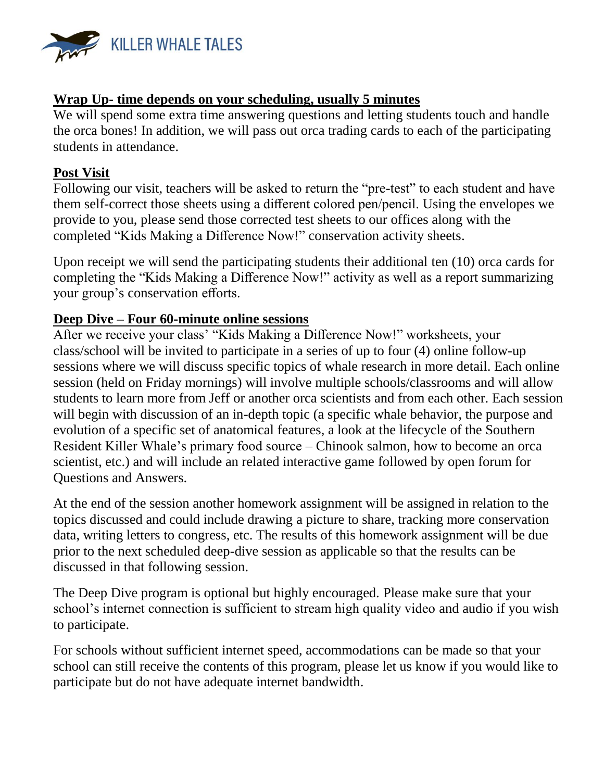

### **Wrap Up- time depends on your scheduling, usually 5 minutes**

We will spend some extra time answering questions and letting students touch and handle the orca bones! In addition, we will pass out orca trading cards to each of the participating students in attendance.

#### **Post Visit**

Following our visit, teachers will be asked to return the "pre-test" to each student and have them self-correct those sheets using a different colored pen/pencil. Using the envelopes we provide to you, please send those corrected test sheets to our offices along with the completed "Kids Making a Difference Now!" conservation activity sheets.

Upon receipt we will send the participating students their additional ten (10) orca cards for completing the "Kids Making a Difference Now!" activity as well as a report summarizing your group's conservation efforts.

#### **Deep Dive – Four 60-minute online sessions**

After we receive your class' "Kids Making a Difference Now!" worksheets, your class/school will be invited to participate in a series of up to four (4) online follow-up sessions where we will discuss specific topics of whale research in more detail. Each online session (held on Friday mornings) will involve multiple schools/classrooms and will allow students to learn more from Jeff or another orca scientists and from each other. Each session will begin with discussion of an in-depth topic (a specific whale behavior, the purpose and evolution of a specific set of anatomical features, a look at the lifecycle of the Southern Resident Killer Whale's primary food source – Chinook salmon, how to become an orca scientist, etc.) and will include an related interactive game followed by open forum for Questions and Answers.

At the end of the session another homework assignment will be assigned in relation to the topics discussed and could include drawing a picture to share, tracking more conservation data, writing letters to congress, etc. The results of this homework assignment will be due prior to the next scheduled deep-dive session as applicable so that the results can be discussed in that following session.

The Deep Dive program is optional but highly encouraged. Please make sure that your school's internet connection is sufficient to stream high quality video and audio if you wish to participate.

For schools without sufficient internet speed, accommodations can be made so that your school can still receive the contents of this program, please let us know if you would like to participate but do not have adequate internet bandwidth.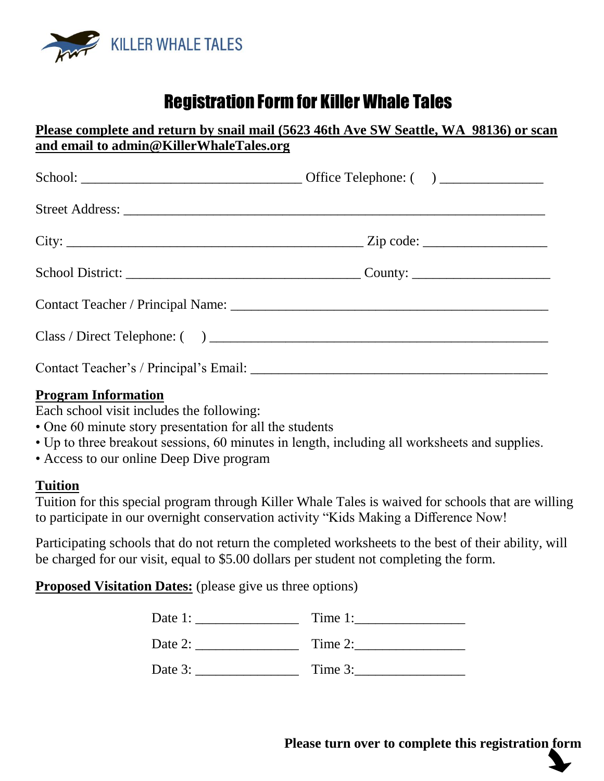

## Registration Form for Killer Whale Tales

### **Please complete and return by snail mail (5623 46th Ave SW Seattle, WA 98136) or scan and email to admin@KillerWhaleTales.org**

#### **Program Information**

Each school visit includes the following:

- One 60 minute story presentation for all the students
- Up to three breakout sessions, 60 minutes in length, including all worksheets and supplies.
- Access to our online Deep Dive program

#### **Tuition**

Tuition for this special program through Killer Whale Tales is waived for schools that are willing to participate in our overnight conservation activity "Kids Making a Difference Now!

Participating schools that do not return the completed worksheets to the best of their ability, will be charged for our visit, equal to \$5.00 dollars per student not completing the form.

**Proposed Visitation Dates:** (please give us three options)

| Date 1: | Time 1:    |
|---------|------------|
| Date 2: | Time $2$ : |
| Date 3: | Time 3:    |

**Please turn over to complete this registration form**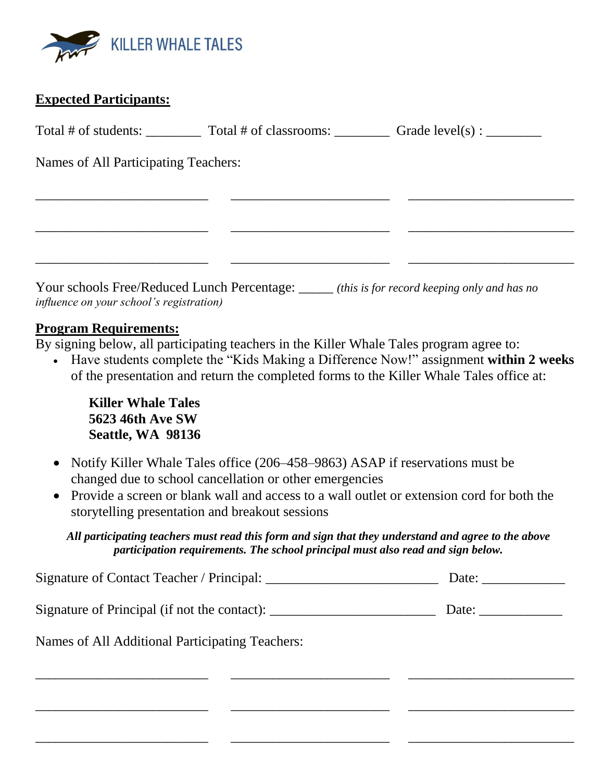

### **Expected Participants:**

|                                      | Total # of students: $\_\_\_\_\_\_\_\_\$ Total # of classrooms: $\_\_\_\_\_\_\_\_\_\_\_\_\_\_\_\_\_\_\_\_\_\_\_\_\_\_\_\_\_$ |  |
|--------------------------------------|------------------------------------------------------------------------------------------------------------------------------|--|
| Names of All Participating Teachers: |                                                                                                                              |  |
|                                      |                                                                                                                              |  |
|                                      |                                                                                                                              |  |
|                                      |                                                                                                                              |  |
|                                      |                                                                                                                              |  |

Your schools Free/Reduced Lunch Percentage: \_\_\_\_\_ *(this is for record keeping only and has no influence on your school's registration)*

#### **Program Requirements:**

By signing below, all participating teachers in the Killer Whale Tales program agree to:

 Have students complete the "Kids Making a Difference Now!" assignment **within 2 weeks** of the presentation and return the completed forms to the Killer Whale Tales office at:

**Killer Whale Tales 5623 46th Ave SW Seattle, WA 98136**

- Notify Killer Whale Tales office (206–458–9863) ASAP if reservations must be changed due to school cancellation or other emergencies
- Provide a screen or blank wall and access to a wall outlet or extension cord for both the storytelling presentation and breakout sessions

#### *All participating teachers must read this form and sign that they understand and agree to the above participation requirements. The school principal must also read and sign below.*

Signature of Contact Teacher / Principal: \_\_\_\_\_\_\_\_\_\_\_\_\_\_\_\_\_\_\_\_\_\_\_\_\_ Date: \_\_\_\_\_\_\_\_\_\_\_\_

Signature of Principal (if not the contact): \_\_\_\_\_\_\_\_\_\_\_\_\_\_\_\_\_\_\_\_\_\_\_\_ Date: \_\_\_\_\_\_\_\_\_\_\_\_

\_\_\_\_\_\_\_\_\_\_\_\_\_\_\_\_\_\_\_\_\_\_\_\_\_ \_\_\_\_\_\_\_\_\_\_\_\_\_\_\_\_\_\_\_\_\_\_\_ \_\_\_\_\_\_\_\_\_\_\_\_\_\_\_\_\_\_\_\_\_\_\_\_

\_\_\_\_\_\_\_\_\_\_\_\_\_\_\_\_\_\_\_\_\_\_\_\_\_ \_\_\_\_\_\_\_\_\_\_\_\_\_\_\_\_\_\_\_\_\_\_\_ \_\_\_\_\_\_\_\_\_\_\_\_\_\_\_\_\_\_\_\_\_\_\_\_

Names of All Additional Participating Teachers:

\_\_\_\_\_\_\_\_\_\_\_\_\_\_\_\_\_\_\_\_\_\_\_\_\_ \_\_\_\_\_\_\_\_\_\_\_\_\_\_\_\_\_\_\_\_\_\_\_ \_\_\_\_\_\_\_\_\_\_\_\_\_\_\_\_\_\_\_\_\_\_\_\_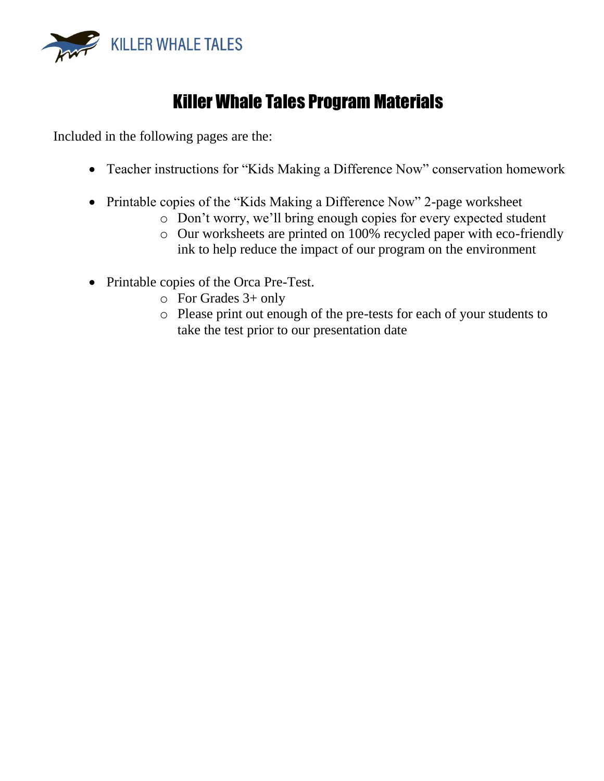

# Killer Whale Tales Program Materials

Included in the following pages are the:

- Teacher instructions for "Kids Making a Difference Now" conservation homework
- Printable copies of the "Kids Making a Difference Now" 2-page worksheet
	- o Don't worry, we'll bring enough copies for every expected student
	- o Our worksheets are printed on 100% recycled paper with eco-friendly ink to help reduce the impact of our program on the environment
- Printable copies of the Orca Pre-Test.
	- o For Grades 3+ only
	- o Please print out enough of the pre-tests for each of your students to take the test prior to our presentation date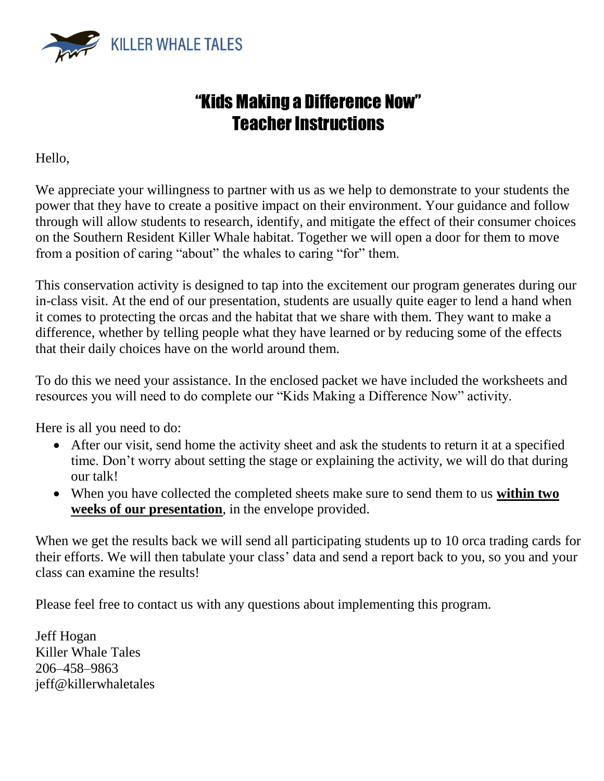

### "Kids Making a Difference Now" Teacher Instructions

Hello,

We appreciate your willingness to partner with us as we help to demonstrate to your students the power that they have to create a positive impact on their environment. Your guidance and follow through will allow students to research, identify, and mitigate the effect of their consumer choices on the Southern Resident Killer Whale habitat. Together we will open a door for them to move from a position of caring "about" the whales to caring "for" them.

This conservation activity is designed to tap into the excitement our program generates during our in-class visit. At the end of our presentation, students are usually quite eager to lend a hand when it comes to protecting the orcas and the habitat that we share with them. They want to make a difference, whether by telling people what they have learned or by reducing some of the effects that their daily choices have on the world around them.

To do this we need your assistance. In the enclosed packet we have included the worksheets and resources you will need to do complete our "Kids Making a Difference Now" activity.

Here is all you need to do:

- After our visit, send home the activity sheet and ask the students to return it at a specified time. Don't worry about setting the stage or explaining the activity, we will do that during our talk!
- When you have collected the completed sheets make sure to send them to us **within two weeks of our presentation**, in the envelope provided.

When we get the results back we will send all participating students up to 10 orca trading cards for their efforts. We will then tabulate your class' data and send a report back to you, so you and your class can examine the results!

Please feel free to contact us with any questions about implementing this program.

Jeff Hogan Killer Whale Tales 206–458–9863 jeff@killerwhaletales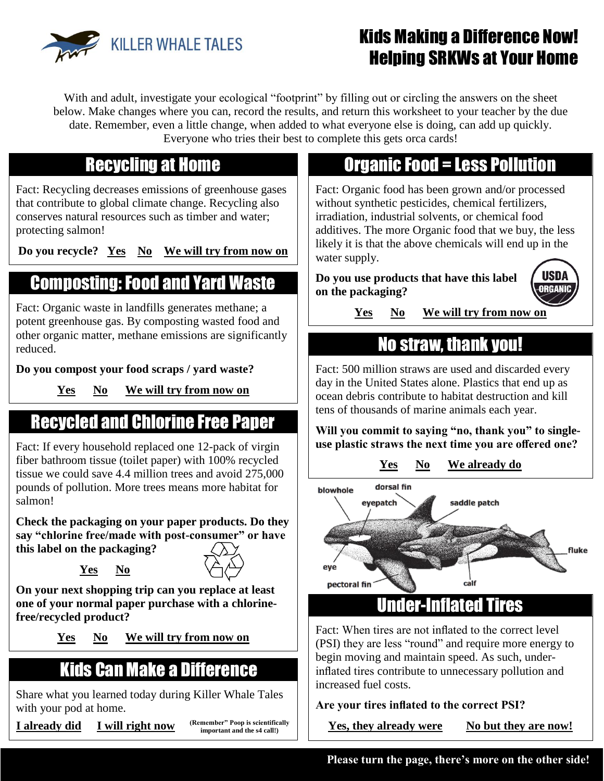

## Kids Making a Difference Now! Helping SRKWs at Your Home

With and adult, investigate your ecological "footprint" by filling out or circling the answers on the sheet below. Make changes where you can, record the results, and return this worksheet to your teacher by the due date. Remember, even a little change, when added to what everyone else is doing, can add up quickly. Everyone who tries their best to complete this gets orca cards!

### Recycling at Home

Fact: Recycling decreases emissions of greenhouse gases that contribute to global climate change. Recycling also conserves natural resources such as timber and water; protecting salmon!

**Do you recycle? Yes No We will try from now on**

### Composting: Food and Yard Waste

Fact: Organic waste in landfills generates methane; a potent greenhouse gas. By composting wasted food and other organic matter, methane emissions are significantly reduced.

**Do you compost your food scraps / yard waste?**

**Yes No We will try from now on**

## Recycled and Chlorine Free Paper

Fact: If every household replaced one 12-pack of virgin fiber bathroom tissue (toilet paper) with 100% recycled tissue we could save 4.4 million trees and avoid 275,000 pounds of pollution. More trees means more habitat for salmon!

**Check the packaging on your paper products. Do they say "chlorine free/made with post-consumer" or have this label on the packaging?**

**Yes No**



**On your next shopping trip can you replace at least one of your normal paper purchase with a chlorinefree/recycled product?** 

**Yes No We will try from now on**

## Kids Can Make a Difference

Share what you learned today during Killer Whale Tales with your pod at home.

**I already did I will right now (Remember" Poop is scientifically** 

**important and the s4 call!)**

# Organic Food = Less Pollution

Fact: Organic food has been grown and/or processed without synthetic pesticides, chemical fertilizers, irradiation, industrial solvents, or chemical food additives. The more Organic food that we buy, the less likely it is that the above chemicals will end up in the water supply.

**Do you use products that have this label on the packaging?**



**Yes No We will try from now on**

# No straw, thank you!

Fact: 500 million straws are used and discarded every day in the United States alone. Plastics that end up as ocean debris contribute to habitat destruction and kill tens of thousands of marine animals each year.

**Will you commit to saying "no, thank you" to singleuse plastic straws the next time you are offered one?**

**Yes No We already do**



Fact: When tires are not inflated to the correct level (PSI) they are less "round" and require more energy to begin moving and maintain speed. As such, underinflated tires contribute to unnecessary pollution and increased fuel costs.

### **Are your tires inflated to the correct PSI?**

Yes, they already were No but they are now!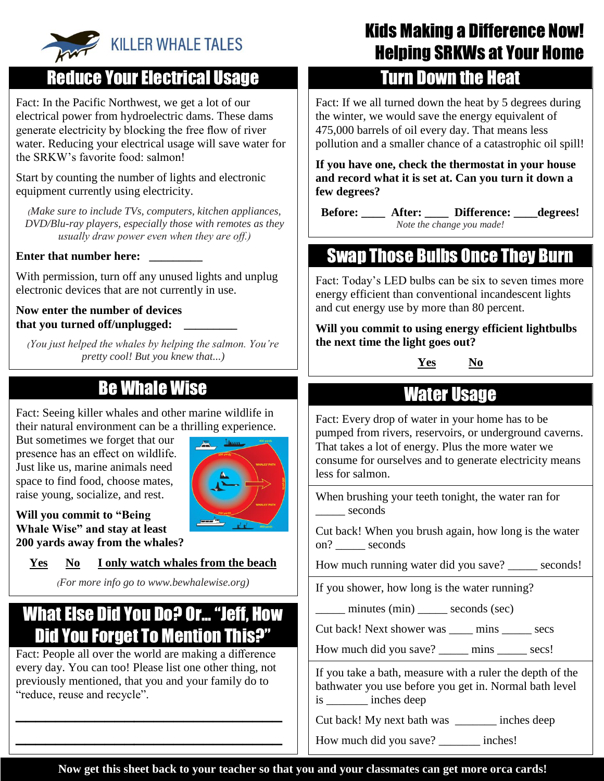

### Reduce Your Electrical Usage

Fact: In the Pacific Northwest, we get a lot of our electrical power from hydroelectric dams. These dams generate electricity by blocking the free flow of river water. Reducing your electrical usage will save water for the SRKW's favorite food: salmon!

Start by counting the number of lights and electronic equipment currently using electricity.

*(Make sure to include TVs, computers, kitchen appliances, DVD/Blu-ray players, especially those with remotes as they usually draw power even when they are off.)*

#### **Enter that number here:**

With permission, turn off any unused lights and unplug electronic devices that are not currently in use.

#### **Now enter the number of devices that you turned off/unplugged: \_\_\_\_\_\_\_\_\_**

*(You just helped the whales by helping the salmon. You're pretty cool! But you knew that...)*

## Be Whale Wise

Fact: Seeing killer whales and other marine wildlife in their natural environment can be a thrilling experience.

But sometimes we forget that our presence has an effect on wildlife. Just like us, marine animals need space to find food, choose mates, raise young, socialize, and rest.



**Will you commit to "Being Whale Wise" and stay at least 200 yards away from the whales?** 

**Yes No I only watch whales from the beach**

*(For more info go to www.bewhalewise.org)*

## What Else Did You Do? Or... "Jeff, How Did You Forget To Mention This?"

Fact: People all over the world are making a difference every day. You can too! Please list one other thing, not previously mentioned, that you and your family do to "reduce, reuse and recycle".

**\_\_\_\_\_\_\_\_\_\_\_\_\_\_\_\_\_\_\_\_\_\_\_\_\_\_\_**

**\_\_\_\_\_\_\_\_\_\_\_\_\_\_\_\_\_\_\_\_\_\_\_\_\_\_\_**

# Kids Making a Difference Now! Helping SRKWs at Your Home

### Turn Down the Heat

Fact: If we all turned down the heat by 5 degrees during the winter, we would save the energy equivalent of 475,000 barrels of oil every day. That means less pollution and a smaller chance of a catastrophic oil spill!

**If you have one, check the thermostat in your house and record what it is set at. Can you turn it down a few degrees?** 

**Before: \_\_\_\_ After: \_\_\_\_ Difference: \_\_\_\_degrees!** *Note the change you made!*

# Swap Those Bulbs Once They Burn

Fact: Today's LED bulbs can be six to seven times more energy efficient than conventional incandescent lights and cut energy use by more than 80 percent.

**Will you commit to using energy efficient lightbulbs the next time the light goes out?**



## Water Usage

Fact: Every drop of water in your home has to be pumped from rivers, reservoirs, or underground caverns. That takes a lot of energy. Plus the more water we consume for ourselves and to generate electricity means less for salmon.

When brushing your teeth tonight, the water ran for \_\_\_\_\_ seconds

Cut back! When you brush again, how long is the water on? \_\_\_\_\_ seconds

How much running water did you save? \_\_\_\_\_ seconds!

If you shower, how long is the water running?

minutes (min) seconds (sec)

Cut back! Next shower was \_\_\_\_ mins \_\_\_\_\_ secs

How much did you save? \_\_\_\_\_ mins \_\_\_\_\_ secs!

If you take a bath, measure with a ruler the depth of the bathwater you use before you get in. Normal bath level is inches deep

Cut back! My next bath was \_\_\_\_\_\_\_ inches deep

How much did you save? \_\_\_\_\_\_\_ inches!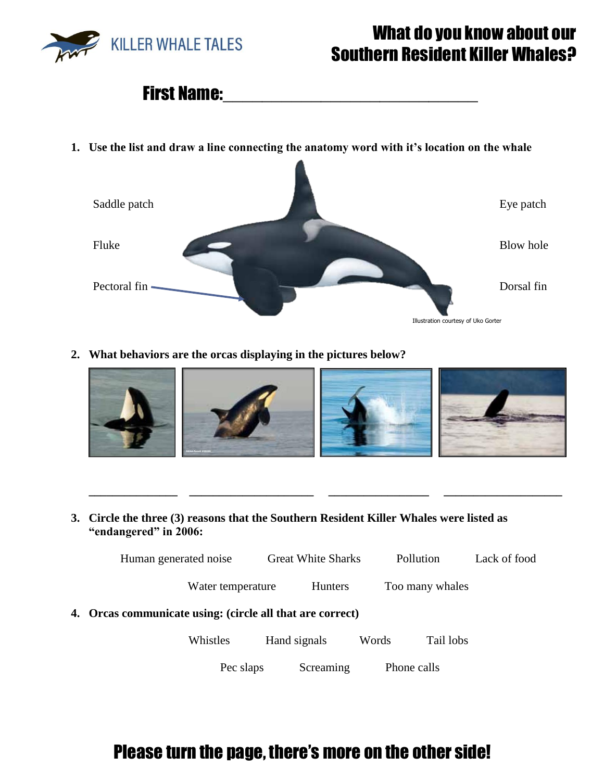

### What do you know about our Southern Resident Killer Whales?

### First Name:

**1. Use the list and draw a line connecting the anatomy word with it's location on the whale**



**2. What behaviors are the orcas displaying in the pictures below?**



**3. Circle the three (3) reasons that the Southern Resident Killer Whales were listed as "endangered" in 2006:**

| Human generated noise | <b>Great White Sharks</b> | Pollution | Lack of food |
|-----------------------|---------------------------|-----------|--------------|
|                       |                           |           |              |

**\_\_\_\_\_\_\_\_\_\_\_\_\_\_\_ \_\_\_\_\_\_\_\_\_\_\_\_\_\_\_\_\_\_\_\_\_ \_\_\_\_\_\_\_\_\_\_\_\_\_\_\_\_\_ \_\_\_\_\_\_\_\_\_\_\_\_\_\_\_\_\_\_\_\_** 

Water temperature Hunters Too many whales

**4. Orcas communicate using: (circle all that are correct)**

| Whistles | Hand signals | Words |
|----------|--------------|-------|
|----------|--------------|-------|

Pec slaps Screaming Phone calls

Tail lobs

### Please turn the page, there's more on the other side!